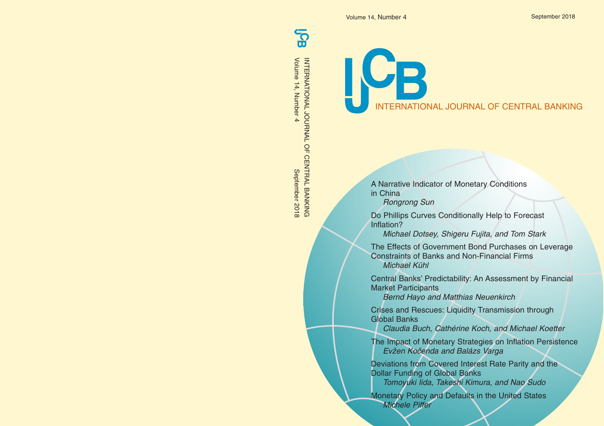Volume 14, Number 4 September 2018

# INTERNATIONAL JOURNAL OF CENTRAL BANKING

A Narrative Indicator of Monetary Conditions in China

Rongrong Sun

Do Phillips Curves Conditionally Help to Forecast Inflation?

Michael Dotsey, Shigeru Fujita, and Tom Stark

The Effects of Government Bond Purchases on Leverage Constraints of Banks and Non-Financial Firms Michael Kühl

Central Banks' Predictability: An Assessment by Financial Market Participants

Bernd Hayo and Matthias Neuenkirch

Crises and Rescues: Liquidity Transmission through Global Banks

Claudia Buch, Cathérine Koch, and Michael Koetter

The Impact of Monetary Strategies on Inflation Persistence Evžen Kočenda and Balázs Varga

Deviations from Covered Interest Rate Parity and the Dollar Funding of Global Banks Tomoyuki Iida, Takeshi Kimura, and Nao Sudo

Monetary Policy and Defaults in the United States Michele Piffer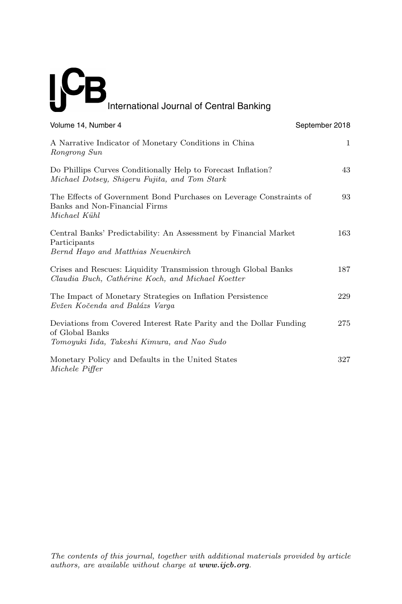# International Journal of Central Banking

| Volume 14, Number 4                                                                                                                   | September 2018 |
|---------------------------------------------------------------------------------------------------------------------------------------|----------------|
| A Narrative Indicator of Monetary Conditions in China<br>Rongrong Sun                                                                 | 1              |
| Do Phillips Curves Conditionally Help to Forecast Inflation?<br>Michael Dotsey, Shigeru Fujita, and Tom Stark                         | 43             |
| The Effects of Government Bond Purchases on Leverage Constraints of<br>Banks and Non-Financial Firms<br>Michael Kühl                  | 93             |
| Central Banks' Predictability: An Assessment by Financial Market<br>Participants<br>Bernd Hayo and Matthias Neuenkirch                | 163            |
| Crises and Rescues: Liquidity Transmission through Global Banks<br>Claudia Buch, Cathérine Koch, and Michael Koetter                  | 187            |
| The Impact of Monetary Strategies on Inflation Persistence<br>Evžen Kočenda and Balázs Varga                                          | 229            |
| Deviations from Covered Interest Rate Parity and the Dollar Funding<br>of Global Banks<br>Tomoyuki Iida, Takeshi Kimura, and Nao Sudo | 275            |
| Monetary Policy and Defaults in the United States<br>Michele Piffer                                                                   | 327            |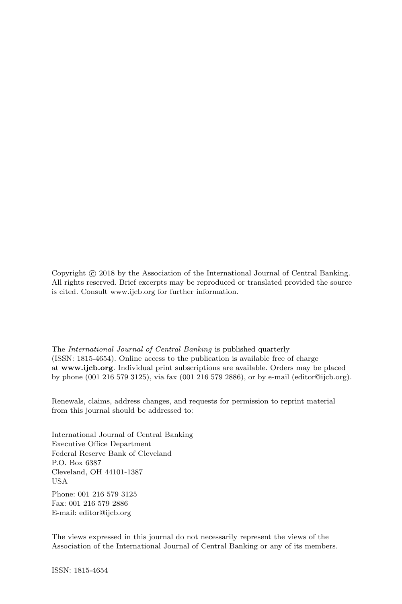Copyright  $\odot$  2018 by the Association of the International Journal of Central Banking. All rights reserved. Brief excerpts may be reproduced or translated provided the source is cited. Consult www.ijcb.org for further information.

The International Journal of Central Banking is published quarterly (ISSN: 1815-4654). Online access to the publication is available free of charge at **www.ijcb.org**. Individual print subscriptions are available. Orders may be placed by phone (001 216 579 3125), via fax (001 216 579 2886), or by e-mail (editor@ijcb.org).

Renewals, claims, address changes, and requests for permission to reprint material from this journal should be addressed to:

International Journal of Central Banking Executive Office Department Federal Reserve Bank of Cleveland P.O. Box 6387 Cleveland, OH 44101-1387 USA

Phone: 001 216 579 3125 Fax: 001 216 579 2886 E-mail: editor@ijcb.org

The views expressed in this journal do not necessarily represent the views of the Association of the International Journal of Central Banking or any of its members.